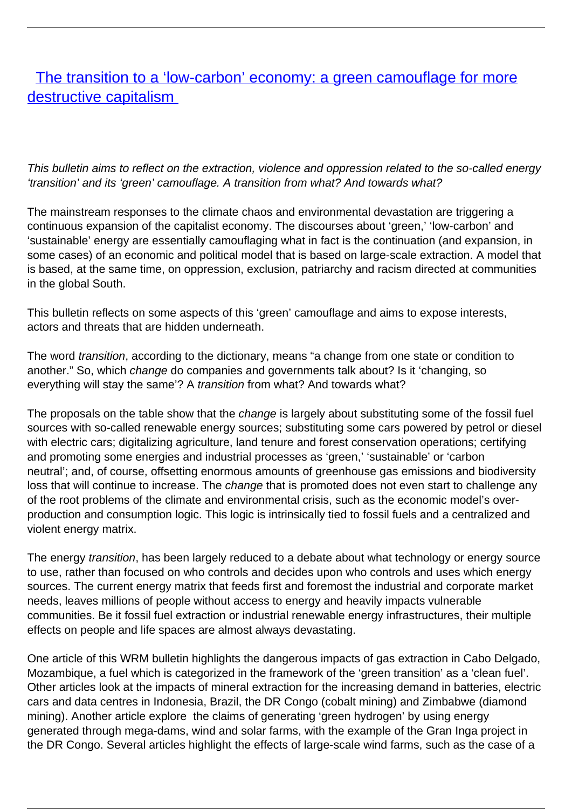## [The transition to a 'low-carbon' economy: a green camouflage for more](/bulletin-articles/the-transition-to-a-low-carbon-economy-a-green-camouflage-for-more-destructive-capitalism) [destructive capitalism](/bulletin-articles/the-transition-to-a-low-carbon-economy-a-green-camouflage-for-more-destructive-capitalism)

This bulletin aims to reflect on the extraction, violence and oppression related to the so-called energy 'transition' and its 'green' camouflage. A transition from what? And towards what?

The mainstream responses to the climate chaos and environmental devastation are triggering a continuous expansion of the capitalist economy. The discourses about 'green,' 'low-carbon' and 'sustainable' energy are essentially camouflaging what in fact is the continuation (and expansion, in some cases) of an economic and political model that is based on large-scale extraction. A model that is based, at the same time, on oppression, exclusion, patriarchy and racism directed at communities in the global South.

This bulletin reflects on some aspects of this 'green' camouflage and aims to expose interests, actors and threats that are hidden underneath.

The word transition, according to the dictionary, means "a change from one state or condition to another." So, which change do companies and governments talk about? Is it 'changing, so everything will stay the same'? A transition from what? And towards what?

The proposals on the table show that the *change* is largely about substituting some of the fossil fuel sources with so-called renewable energy sources; substituting some cars powered by petrol or diesel with electric cars; digitalizing agriculture, land tenure and forest conservation operations; certifying and promoting some energies and industrial processes as 'green,' 'sustainable' or 'carbon neutral'; and, of course, offsetting enormous amounts of greenhouse gas emissions and biodiversity loss that will continue to increase. The change that is promoted does not even start to challenge any of the root problems of the climate and environmental crisis, such as the economic model's overproduction and consumption logic. This logic is intrinsically tied to fossil fuels and a centralized and violent energy matrix.

The energy *transition*, has been largely reduced to a debate about what technology or energy source to use, rather than focused on who controls and decides upon who controls and uses which energy sources. The current energy matrix that feeds first and foremost the industrial and corporate market needs, leaves millions of people without access to energy and heavily impacts vulnerable communities. Be it fossil fuel extraction or industrial renewable energy infrastructures, their multiple effects on people and life spaces are almost always devastating.

One article of this WRM bulletin highlights the dangerous impacts of gas extraction in Cabo Delgado, Mozambique, a fuel which is categorized in the framework of the 'green transition' as a 'clean fuel'. Other articles look at the impacts of mineral extraction for the increasing demand in batteries, electric cars and data centres in Indonesia, Brazil, the DR Congo (cobalt mining) and Zimbabwe (diamond mining). Another article explore the claims of generating 'green hydrogen' by using energy generated through mega-dams, wind and solar farms, with the example of the Gran Inga project in the DR Congo. Several articles highlight the effects of large-scale wind farms, such as the case of a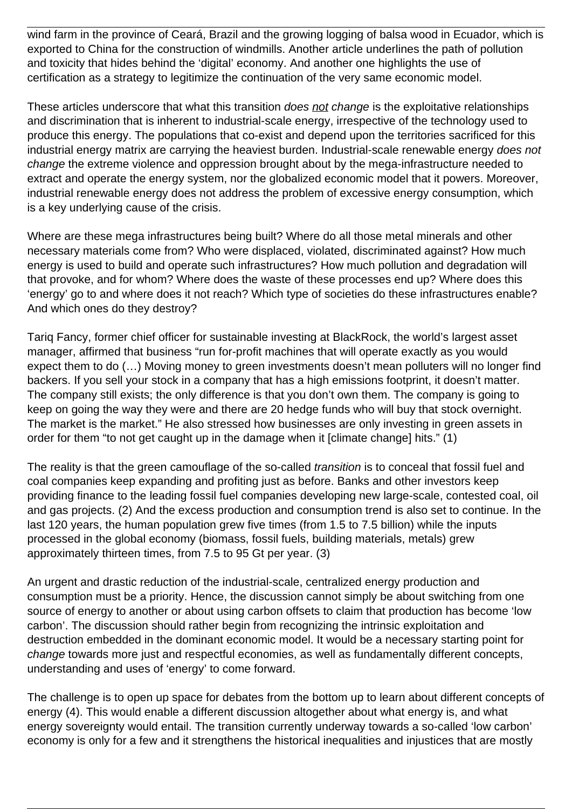wind farm in the province of Ceará, Brazil and the growing logging of balsa wood in Ecuador, which is exported to China for the construction of windmills. Another article underlines the path of pollution and toxicity that hides behind the 'digital' economy. And another one highlights the use of certification as a strategy to legitimize the continuation of the very same economic model.

These articles underscore that what this transition *does not change* is the exploitative relationships and discrimination that is inherent to industrial-scale energy, irrespective of the technology used to produce this energy. The populations that co-exist and depend upon the territories sacrificed for this industrial energy matrix are carrying the heaviest burden. Industrial-scale renewable energy does not change the extreme violence and oppression brought about by the mega-infrastructure needed to extract and operate the energy system, nor the globalized economic model that it powers. Moreover, industrial renewable energy does not address the problem of excessive energy consumption, which is a key underlying cause of the crisis.

Where are these mega infrastructures being built? Where do all those metal minerals and other necessary materials come from? Who were displaced, violated, discriminated against? How much energy is used to build and operate such infrastructures? How much pollution and degradation will that provoke, and for whom? Where does the waste of these processes end up? Where does this 'energy' go to and where does it not reach? Which type of societies do these infrastructures enable? And which ones do they destroy?

Tariq Fancy, former chief officer for sustainable investing at BlackRock, the world's largest asset manager, affirmed that business "run for-profit machines that will operate exactly as you would expect them to do (…) Moving money to green investments doesn't mean polluters will no longer find backers. If you sell your stock in a company that has a high emissions footprint, it doesn't matter. The company still exists; the only difference is that you don't own them. The company is going to keep on going the way they were and there are 20 hedge funds who will buy that stock overnight. The market is the market." He also stressed how businesses are only investing in green assets in order for them "to not get caught up in the damage when it [climate change] hits." (1)

The reality is that the green camouflage of the so-called *transition* is to conceal that fossil fuel and coal companies keep expanding and profiting just as before. Banks and other investors keep providing finance to the leading fossil fuel companies developing new large-scale, contested coal, oil and gas projects. (2) And the excess production and consumption trend is also set to continue. In the last 120 years, the human population grew five times (from 1.5 to 7.5 billion) while the inputs processed in the global economy (biomass, fossil fuels, building materials, metals) grew approximately thirteen times, from 7.5 to 95 Gt per year. (3)

An urgent and drastic reduction of the industrial-scale, centralized energy production and consumption must be a priority. Hence, the discussion cannot simply be about switching from one source of energy to another or about using carbon offsets to claim that production has become 'low carbon'. The discussion should rather begin from recognizing the intrinsic exploitation and destruction embedded in the dominant economic model. It would be a necessary starting point for change towards more just and respectful economies, as well as fundamentally different concepts, understanding and uses of 'energy' to come forward.

The challenge is to open up space for debates from the bottom up to learn about different concepts of energy (4). This would enable a different discussion altogether about what energy is, and what energy sovereignty would entail. The transition currently underway towards a so-called 'low carbon' economy is only for a few and it strengthens the historical inequalities and injustices that are mostly